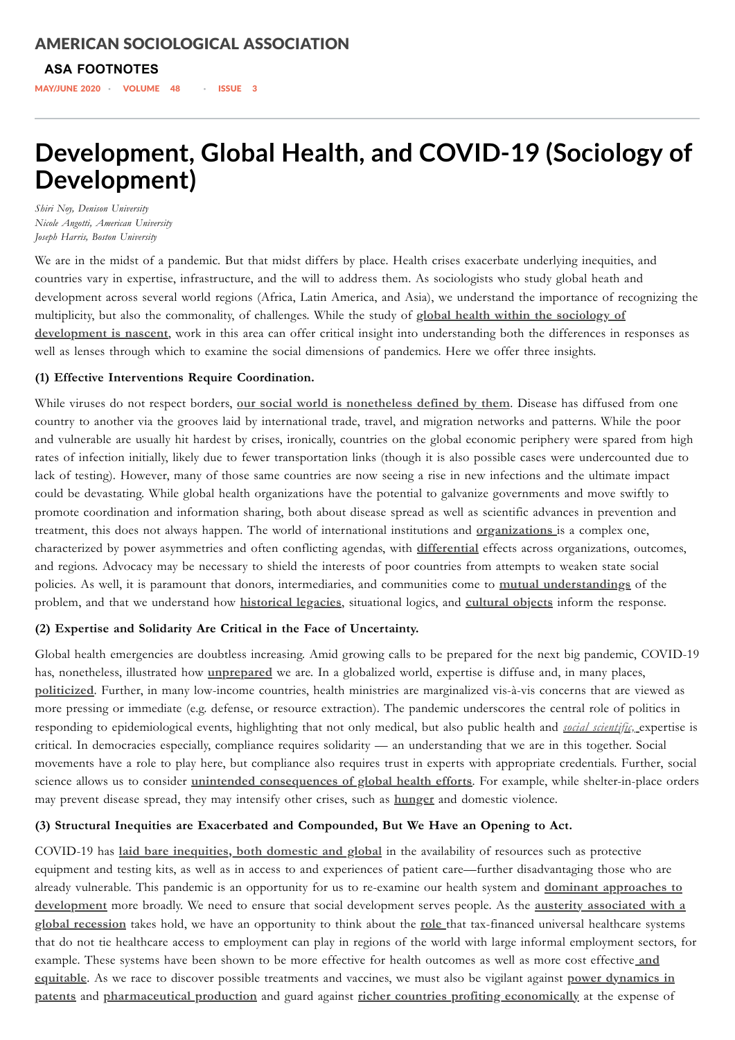**ASA FOOTNOTES**

MAY/JUNE 2020 · VOLUME 48 · ISSUE 3

# **Development, Global Health, and COVID-19 (Sociology of Development)**

*Shiri Noy, Denison University Nicole Angotti, American University Joseph Harris, Boston University*

We are in the midst of a pandemic. But that midst differs by place. Health crises exacerbate underlying inequities, and countries vary in expertise, infrastructure, and the will to address them. As sociologists who study global heath and development across several world regions (Africa, Latin America, and Asia), we understand the importance of recognizing the multiplicity, but also the commonality, of challenges. While the study of **global health within the sociology of development is nascent**, work in this area can offer critical insight into [understanding](https://socdev.ucpress.edu/content/5/1/1) both the differences in responses as well as lenses through which to examine the social dimensions of pandemics. Here we offer three insights.

#### **(1) Effective Interventions Require Coordination.**

While viruses do not respect borders, **our social world is [nonetheless](http://somatosphere.net/forumpost/border-promiscuity-raciali) defined by them**. Disease has diffused from one country to another via the grooves laid by international trade, travel, and migration networks and patterns. While the poor and vulnerable are usually hit hardest by crises, ironically, countries on the global economic periphery were spared from high rates of infection initially, likely due to fewer transportation links (though it is also possible cases were undercounted due to lack of testing). However, many of those same countries are now seeing a rise in new infections and the ultimate impact could be devastating. While global health organizations have the potential to galvanize governments and move swiftly to promote coordination and information sharing, both about disease spread as well as scientific advances in prevention and treatment, this does not always happen. The world of international institutions and **[organizations](https://www.cornellpress.cornell.edu/book/9780801450655/the-world-health-organization-between)** is a complex one, characterized by power asymmetries and often conflicting agendas, with **[differential](https://www.tandfonline.com/doi/full/10.1080/13600818.2017.1346068?scroll=top&needAccess=true)** effects across organizations, outcomes, and regions. Advocacy may be necessary to shield the interests of poor countries from attempts to weaken state social policies. As well, it is paramount that donors, intermediaries, and communities come to **mutual [understandings](https://press.princeton.edu/books/hardcover/9780691173924/a-fraught-embrace)** of the problem, and that we understand how **[historical](https://www.cambridge.org/core/books/intimate-interventions-in-global-health/B7229CE4F7BB150AB0F097FA7DCB16D4) legacies**, situational logics, and **[cultural](https://www.press.uchicago.edu/ucp/books/book/chicago/B/bo23996901.html) objects** inform the response.

#### **A publication of the American Sociological Association** AMERICAN [SOCIOLOGICAL](https://www.asanet.org/) ASSOCIATION

## **(2) Expertise and Solidarity Are Critical in the Face of Uncertainty.**

Global health emergencies are doubtless increasing. Amid growing calls to be prepared for the next big pandemic, COVID-19 has, nonetheless, illustrated how **[unprepared](https://www.ucpress.edu/book/9780520295766/unprepared)** we are. In a globalized world, expertise is diffuse and, in many places, **[politicized](https://socdev.ucpress.edu/content/3/3/197.abstract)**. Further, in many low-income countries, health ministries are marginalized vis-à-vis concerns that are viewed as more pressing or immediate (e.g. defense, or resource extraction). The pandemic underscores the central role of politics in responding to epidemiological events, highlighting that not only medical, but also public health and *social [scientific,](https://link.springer.com/article/10.1007/s11186-019-09352-6)* expertise is critical. In democracies especially, compliance requires solidarity — an understanding that we are in this together. Social movements have a role to play here, but compliance also requires trust in experts with appropriate credentials. Further, social science allows us to consider **unintended [consequences](https://socdev.ucpress.edu/content/5/1/71.abstract) of global health efforts**. For example, while shelter-in-place orders

may prevent disease spread, they may intensify other crises, such as **[hunger](https://www.nytimes.com/2020/04/22/world/africa/coronavirus-hunger-crisis.html)** and domestic violence.

#### **(3) Structural Inequities are Exacerbated and Compounded, But We Have an Opening to Act.**

COVID-19 has **laid bare [inequities,](https://www.nytimes.com/2020/04/09/world/coronavirus-) both domestic and global** in the availability of resources such as protective equipment and testing kits, as well as in access to and experiences of patient care—further disadvantaging those who are already vulnerable. This pandemic is an opportunity for us to re-examine our health system and **dominant approaches to [development](https://academic.oup.com/eurpub/article/29/5/808/5574348?casa_token=yUkyZmF2ZF4AAAAA:Nw-s__iwAKykEXeszYd6omsrORSK6GtUdjfYDX8v5KnPMQzsz2mvIxv33gmGrrmNXemqqTjtM)** more broadly. We need to ensure that social development serves people. As the **austerity associated with a global recession** takes hold, we have an opportunity to think about the **[role](https://onlinelibrary.wiley.com/doi/pdf/10.1111/socf.12551?casa_token=lmCIm2CS4ZkAAAAA:DaHrL-MZ_lcOtdxN3EMqigPg5sXgw2Xu8Bkyg_8TNM7t8hfdHGQ8q--WszigZW0tNeBnYWAwDSgC)** that tax-financed universal healthcare systems that do not tie healthcare access to employment can play in regions of the world with large informal employment sectors, for example. These systems have been shown to be more effective for health outcomes as well as more cost effective **and equitable**. As we race to discover possible [treatments](https://www.sciencedirect.com/science/article/) and vaccines, we must also be vigilant against **power dynamics in patents** and **[pharmaceutical](https://www.routledge.com/Pharmaceutical-Autonomy-and-Public-Health-in-Latin-America-State-Society/Flynn/p/book/9781138314351) production** and guard against **richer countries profiting [economically](https://rowman.com/isbn/9780847698875/the-second-sickness-contradictions-of-capitalist-health-care-2nd-edition)** at the expense of